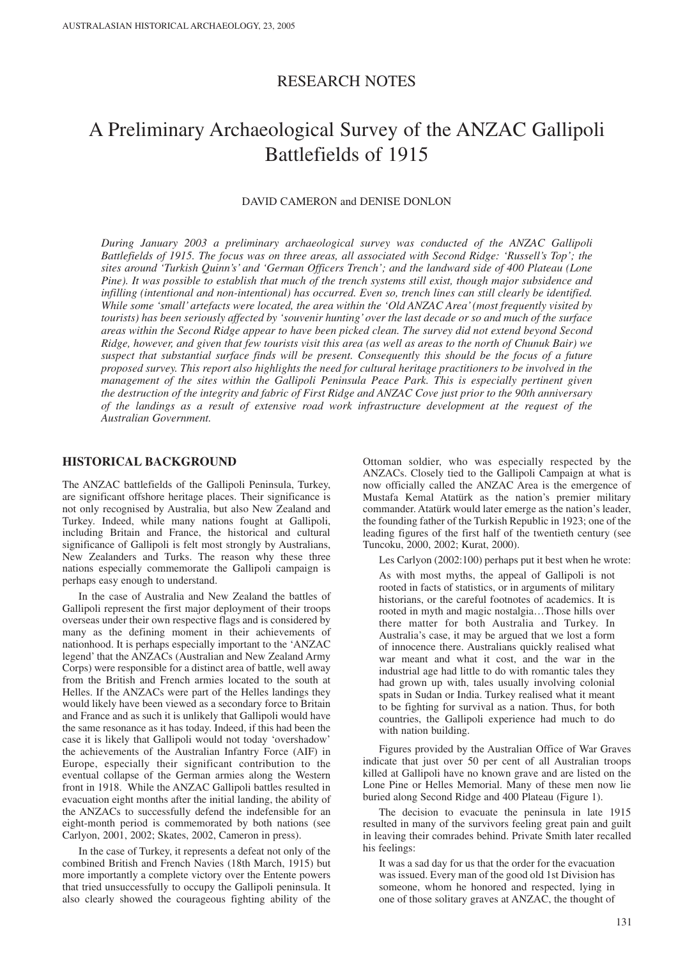# RESEARCH NOTES

# A Preliminary Archaeological Survey of the ANZAC Gallipoli Battlefields of 1915

## DAVID CAMERON and DENISE DONLON

*During January 2003 a preliminary archaeological survey was conducted of the ANZAC Gallipoli Battlefields of 1915. The focus was on three areas, all associated with Second Ridge: 'Russell's Top'; the sites around 'Turkish Quinn's' and 'German Officers Trench'; and the landward side of 400 Plateau (Lone Pine). It was possible to establish that much of the trench systems still exist, though major subsidence and infilling (intentional and non-intentional) has occurred. Even so, trench lines can still clearly be identified. While some 'small' artefacts were located, the area within the 'Old ANZAC Area' (most frequently visited by tourists) has been seriously affected by 'souvenir hunting'over the last decade or so and much of the surface areas within the Second Ridge appear to have been picked clean. The survey did not extend beyond Second Ridge, however, and given that few tourists visit this area (as well as areas to the north of Chunuk Bair) we suspect that substantial surface finds will be present. Consequently this should be the focus of a future proposed survey. This report also highlights the need for cultural heritage practitioners to be involved in the management of the sites within the Gallipoli Peninsula Peace Park. This is especially pertinent given the destruction of the integrity and fabric of First Ridge and ANZAC Cove just prior to the 90th anniversary of the landings as a result of extensive road work infrastructure development at the request of the Australian Government.* 

## **HISTORICAL BACKGROUND**

The ANZAC battlefields of the Gallipoli Peninsula, Turkey, are significant offshore heritage places. Their significance is not only recognised by Australia, but also New Zealand and Turkey. Indeed, while many nations fought at Gallipoli, including Britain and France, the historical and cultural significance of Gallipoli is felt most strongly by Australians, New Zealanders and Turks. The reason why these three nations especially commemorate the Gallipoli campaign is perhaps easy enough to understand.

In the case of Australia and New Zealand the battles of Gallipoli represent the first major deployment of their troops overseas under their own respective flags and is considered by many as the defining moment in their achievements of nationhood. It is perhaps especially important to the 'ANZAC legend' that the ANZACs (Australian and New Zealand Army Corps) were responsible for a distinct area of battle, well away from the British and French armies located to the south at Helles. If the ANZACs were part of the Helles landings they would likely have been viewed as a secondary force to Britain and France and as such it is unlikely that Gallipoli would have the same resonance as it has today. Indeed, if this had been the case it is likely that Gallipoli would not today 'overshadow' the achievements of the Australian Infantry Force (AIF) in Europe, especially their significant contribution to the eventual collapse of the German armies along the Western front in 1918. While the ANZAC Gallipoli battles resulted in evacuation eight months after the initial landing, the ability of the ANZACs to successfully defend the indefensible for an eight-month period is commemorated by both nations (see Carlyon, 2001, 2002; Skates, 2002, Cameron in press).

In the case of Turkey, it represents a defeat not only of the combined British and French Navies (18th March, 1915) but more importantly a complete victory over the Entente powers that tried unsuccessfully to occupy the Gallipoli peninsula. It also clearly showed the courageous fighting ability of the

Ottoman soldier, who was especially respected by the ANZACs. Closely tied to the Gallipoli Campaign at what is now officially called the ANZAC Area is the emergence of Mustafa Kemal Atatürk as the nation's premier military commander. Atatürk would later emerge as the nation's leader, the founding father of the Turkish Republic in 1923; one of the leading figures of the first half of the twentieth century (see Tuncoku, 2000, 2002; Kurat, 2000).

Les Carlyon (2002:100) perhaps put it best when he wrote:

As with most myths, the appeal of Gallipoli is not rooted in facts of statistics, or in arguments of military historians, or the careful footnotes of academics. It is rooted in myth and magic nostalgia…Those hills over there matter for both Australia and Turkey. In Australia's case, it may be argued that we lost a form of innocence there. Australians quickly realised what war meant and what it cost, and the war in the industrial age had little to do with romantic tales they had grown up with, tales usually involving colonial spats in Sudan or India. Turkey realised what it meant to be fighting for survival as a nation. Thus, for both countries, the Gallipoli experience had much to do with nation building.

Figures provided by the Australian Office of War Graves indicate that just over 50 per cent of all Australian troops killed at Gallipoli have no known grave and are listed on the Lone Pine or Helles Memorial. Many of these men now lie buried along Second Ridge and 400 Plateau (Figure 1).

The decision to evacuate the peninsula in late 1915 resulted in many of the survivors feeling great pain and guilt in leaving their comrades behind. Private Smith later recalled his feelings:

It was a sad day for us that the order for the evacuation was issued. Every man of the good old 1st Division has someone, whom he honored and respected, lying in one of those solitary graves at ANZAC, the thought of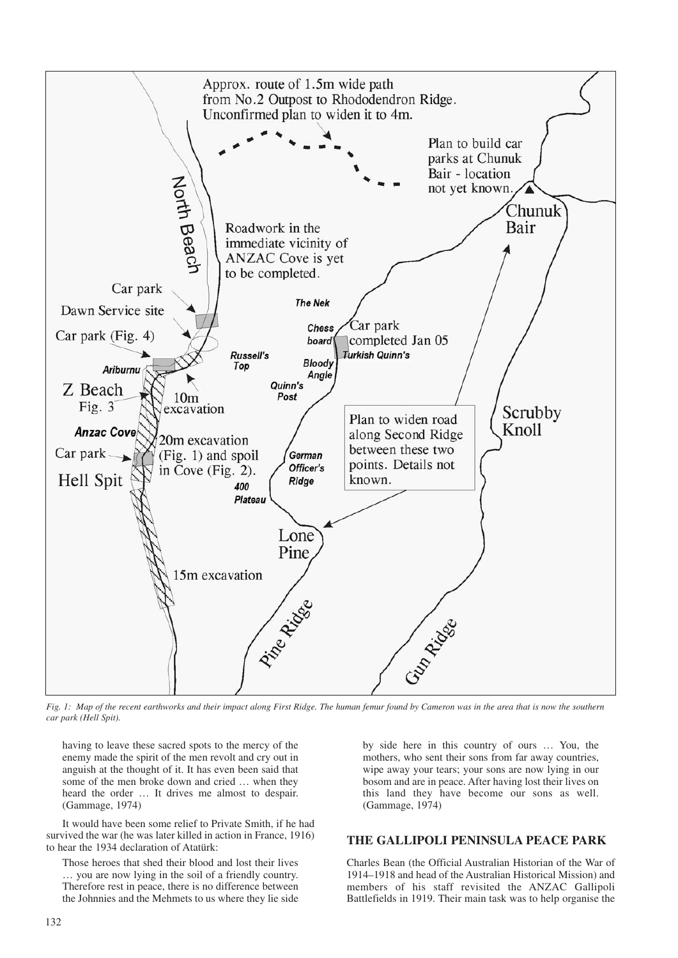

*Fig. 1: Map of the recent earthworks and their impact along First Ridge. The human femur found by Cameron was in the area that is now the southern car park (Hell Spit).* 

having to leave these sacred spots to the mercy of the enemy made the spirit of the men revolt and cry out in anguish at the thought of it. It has even been said that some of the men broke down and cried … when they heard the order … It drives me almost to despair. (Gammage, 1974)

It would have been some relief to Private Smith, if he had survived the war (he was later killed in action in France, 1916) to hear the 1934 declaration of Atatürk:

Those heroes that shed their blood and lost their lives … you are now lying in the soil of a friendly country. Therefore rest in peace, there is no difference between the Johnnies and the Mehmets to us where they lie side by side here in this country of ours … You, the mothers, who sent their sons from far away countries, wipe away your tears; your sons are now lying in our bosom and are in peace. After having lost their lives on this land they have become our sons as well. (Gammage, 1974)

# **THE GALLIPOLI PENINSULA PEACE PARK**

Charles Bean (the Official Australian Historian of the War of 1914–1918 and head of the Australian Historical Mission) and members of his staff revisited the ANZAC Gallipoli Battlefields in 1919. Their main task was to help organise the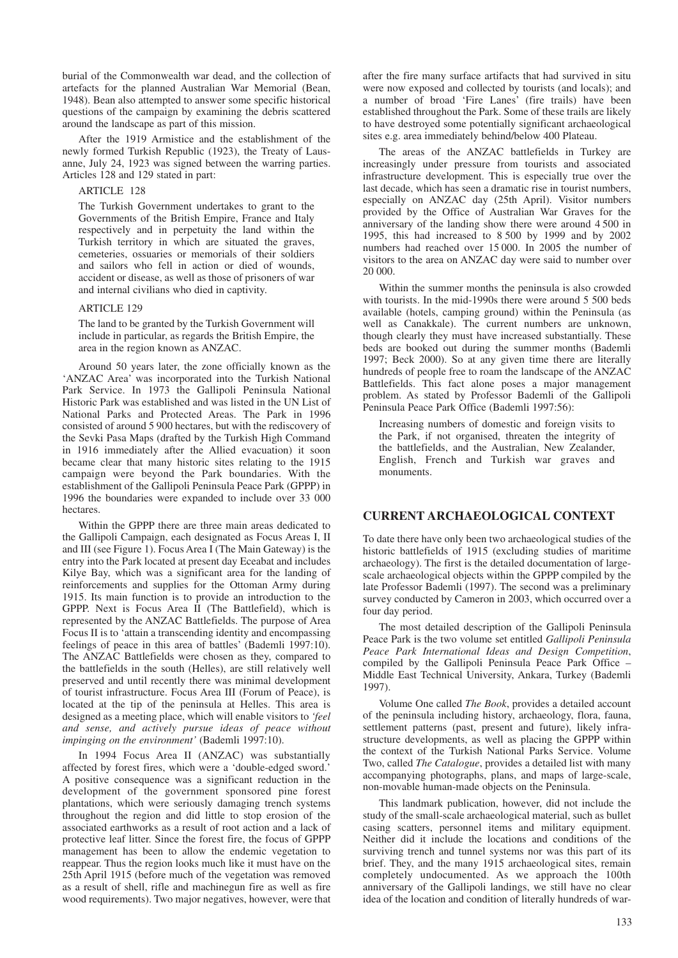burial of the Commonwealth war dead, and the collection of artefacts for the planned Australian War Memorial (Bean, 1948). Bean also attempted to answer some specific historical questions of the campaign by examining the debris scattered around the landscape as part of this mission.

After the 1919 Armistice and the establishment of the newly formed Turkish Republic (1923), the Treaty of Lausanne, July 24, 1923 was signed between the warring parties. Articles 128 and 129 stated in part:

#### ARTICLE 128

The Turkish Government undertakes to grant to the Governments of the British Empire, France and Italy respectively and in perpetuity the land within the Turkish territory in which are situated the graves, cemeteries, ossuaries or memorials of their soldiers and sailors who fell in action or died of wounds, accident or disease, as well as those of prisoners of war and internal civilians who died in captivity.

#### ARTICLE 129

The land to be granted by the Turkish Government will include in particular, as regards the British Empire, the area in the region known as ANZAC.

Around 50 years later, the zone officially known as the 'ANZAC Area' was incorporated into the Turkish National Park Service. In 1973 the Gallipoli Peninsula National Historic Park was established and was listed in the UN List of National Parks and Protected Areas. The Park in 1996 consisted of around 5 900 hectares, but with the rediscovery of the Sevki Pasa Maps (drafted by the Turkish High Command in 1916 immediately after the Allied evacuation) it soon became clear that many historic sites relating to the 1915 campaign were beyond the Park boundaries. With the establishment of the Gallipoli Peninsula Peace Park (GPPP) in 1996 the boundaries were expanded to include over 33 000 hectares.

Within the GPPP there are three main areas dedicated to the Gallipoli Campaign, each designated as Focus Areas I, II and III (see Figure 1). Focus Area I (The Main Gateway) is the entry into the Park located at present day Eceabat and includes Kilye Bay, which was a significant area for the landing of reinforcements and supplies for the Ottoman Army during 1915. Its main function is to provide an introduction to the GPPP. Next is Focus Area II (The Battlefield), which is represented by the ANZAC Battlefields. The purpose of Area Focus II is to 'attain a transcending identity and encompassing feelings of peace in this area of battles' (Bademli 1997:10). The ANZAC Battlefields were chosen as they, compared to the battlefields in the south (Helles), are still relatively well preserved and until recently there was minimal development of tourist infrastructure. Focus Area III (Forum of Peace), is located at the tip of the peninsula at Helles. This area is designed as a meeting place, which will enable visitors to *'feel and sense, and actively pursue ideas of peace without impinging on the environment'* (Bademli 1997:10).

In 1994 Focus Area II (ANZAC) was substantially affected by forest fires, which were a 'double-edged sword.' A positive consequence was a significant reduction in the development of the government sponsored pine forest plantations, which were seriously damaging trench systems throughout the region and did little to stop erosion of the associated earthworks as a result of root action and a lack of protective leaf litter. Since the forest fire, the focus of GPPP management has been to allow the endemic vegetation to reappear. Thus the region looks much like it must have on the 25th April 1915 (before much of the vegetation was removed as a result of shell, rifle and machinegun fire as well as fire wood requirements). Two major negatives, however, were that

after the fire many surface artifacts that had survived in situ were now exposed and collected by tourists (and locals); and a number of broad 'Fire Lanes' (fire trails) have been established throughout the Park. Some of these trails are likely to have destroyed some potentially significant archaeological sites e.g. area immediately behind/below 400 Plateau.

The areas of the ANZAC battlefields in Turkey are increasingly under pressure from tourists and associated infrastructure development. This is especially true over the last decade, which has seen a dramatic rise in tourist numbers, especially on ANZAC day (25th April). Visitor numbers provided by the Office of Australian War Graves for the anniversary of the landing show there were around 4 500 in 1995, this had increased to 8 500 by 1999 and by 2002 numbers had reached over 15 000. In 2005 the number of visitors to the area on ANZAC day were said to number over 20 000.

Within the summer months the peninsula is also crowded with tourists. In the mid-1990s there were around 5 500 beds available (hotels, camping ground) within the Peninsula (as well as Canakkale). The current numbers are unknown, though clearly they must have increased substantially. These beds are booked out during the summer months (Bademli 1997; Beck 2000). So at any given time there are literally hundreds of people free to roam the landscape of the ANZAC Battlefields. This fact alone poses a major management problem. As stated by Professor Bademli of the Gallipoli Peninsula Peace Park Office (Bademli 1997:56):

Increasing numbers of domestic and foreign visits to the Park, if not organised, threaten the integrity of the battlefields, and the Australian, New Zealander, English, French and Turkish war graves and monuments.

# **CURRENT ARCHAEOLOGICAL CONTEXT**

To date there have only been two archaeological studies of the historic battlefields of 1915 (excluding studies of maritime archaeology). The first is the detailed documentation of largescale archaeological objects within the GPPP compiled by the late Professor Bademli (1997). The second was a preliminary survey conducted by Cameron in 2003, which occurred over a four day period.

The most detailed description of the Gallipoli Peninsula Peace Park is the two volume set entitled *Gallipoli Peninsula Peace Park International Ideas and Design Competition*, compiled by the Gallipoli Peninsula Peace Park Office – Middle East Technical University, Ankara, Turkey (Bademli 1997).

Volume One called *The Book*, provides a detailed account of the peninsula including history, archaeology, flora, fauna, settlement patterns (past, present and future), likely infrastructure developments, as well as placing the GPPP within the context of the Turkish National Parks Service. Volume Two, called *The Catalogue*, provides a detailed list with many accompanying photographs, plans, and maps of large-scale, non-movable human-made objects on the Peninsula.

This landmark publication, however, did not include the study of the small-scale archaeological material, such as bullet casing scatters, personnel items and military equipment. Neither did it include the locations and conditions of the surviving trench and tunnel systems nor was this part of its brief. They, and the many 1915 archaeological sites, remain completely undocumented. As we approach the 100th anniversary of the Gallipoli landings, we still have no clear idea of the location and condition of literally hundreds of war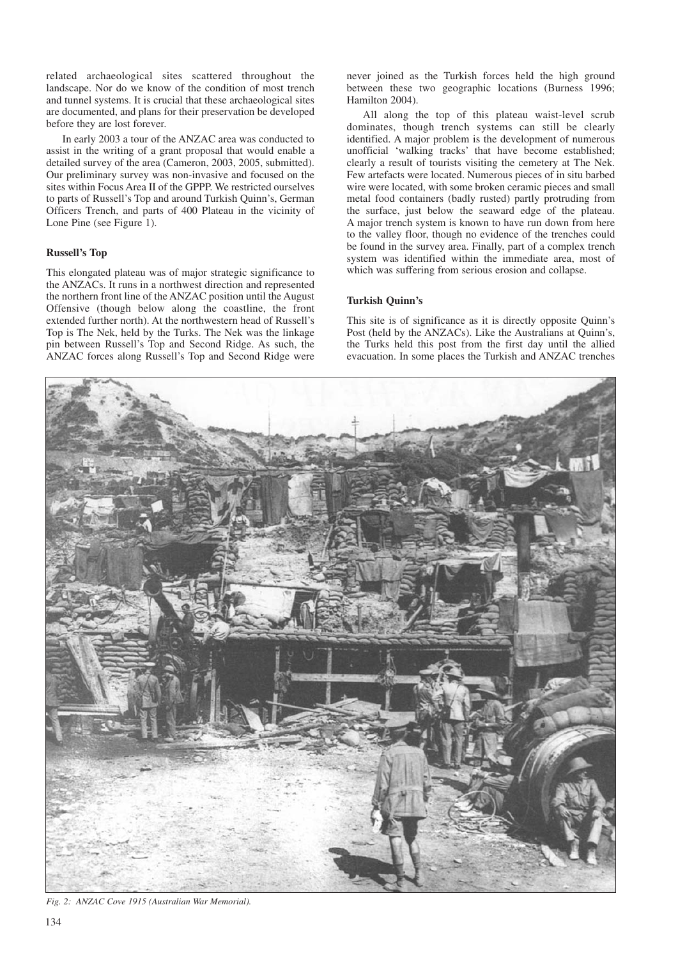related archaeological sites scattered throughout the landscape. Nor do we know of the condition of most trench and tunnel systems. It is crucial that these archaeological sites are documented, and plans for their preservation be developed before they are lost forever.

In early 2003 a tour of the ANZAC area was conducted to assist in the writing of a grant proposal that would enable a detailed survey of the area (Cameron, 2003, 2005, submitted). Our preliminary survey was non-invasive and focused on the sites within Focus Area II of the GPPP. We restricted ourselves to parts of Russell's Top and around Turkish Quinn's, German Officers Trench, and parts of 400 Plateau in the vicinity of Lone Pine (see Figure 1).

#### **Russell's Top**

This elongated plateau was of major strategic significance to the ANZACs. It runs in a northwest direction and represented the northern front line of the ANZAC position until the August Offensive (though below along the coastline, the front extended further north). At the northwestern head of Russell's Top is The Nek, held by the Turks. The Nek was the linkage pin between Russell's Top and Second Ridge. As such, the ANZAC forces along Russell's Top and Second Ridge were

never joined as the Turkish forces held the high ground between these two geographic locations (Burness 1996; Hamilton 2004).

All along the top of this plateau waist-level scrub dominates, though trench systems can still be clearly identified. A major problem is the development of numerous unofficial 'walking tracks' that have become established; clearly a result of tourists visiting the cemetery at The Nek. Few artefacts were located. Numerous pieces of in situ barbed wire were located, with some broken ceramic pieces and small metal food containers (badly rusted) partly protruding from the surface, just below the seaward edge of the plateau. A major trench system is known to have run down from here to the valley floor, though no evidence of the trenches could be found in the survey area. Finally, part of a complex trench system was identified within the immediate area, most of which was suffering from serious erosion and collapse.

#### **Turkish Quinn's**

This site is of significance as it is directly opposite Quinn's Post (held by the ANZACs). Like the Australians at Quinn's, the Turks held this post from the first day until the allied evacuation. In some places the Turkish and ANZAC trenches



*Fig. 2: ANZAC Cove 1915 (Australian War Memorial).*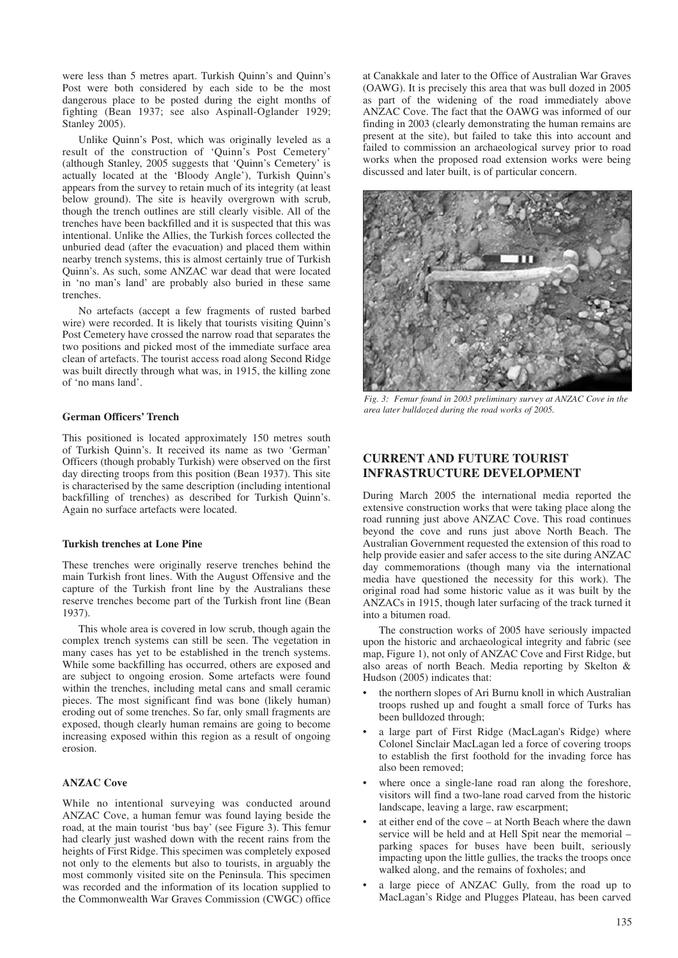were less than 5 metres apart. Turkish Quinn's and Quinn's Post were both considered by each side to be the most dangerous place to be posted during the eight months of fighting (Bean 1937; see also Aspinall-Oglander 1929; Stanley 2005).

Unlike Quinn's Post, which was originally leveled as a result of the construction of 'Quinn's Post Cemetery' (although Stanley, 2005 suggests that 'Quinn's Cemetery' is actually located at the 'Bloody Angle'), Turkish Quinn's appears from the survey to retain much of its integrity (at least below ground). The site is heavily overgrown with scrub, though the trench outlines are still clearly visible. All of the trenches have been backfilled and it is suspected that this was intentional. Unlike the Allies, the Turkish forces collected the unburied dead (after the evacuation) and placed them within nearby trench systems, this is almost certainly true of Turkish Quinn's. As such, some ANZAC war dead that were located in 'no man's land' are probably also buried in these same trenches.

No artefacts (accept a few fragments of rusted barbed wire) were recorded. It is likely that tourists visiting Quinn's Post Cemetery have crossed the narrow road that separates the two positions and picked most of the immediate surface area clean of artefacts. The tourist access road along Second Ridge was built directly through what was, in 1915, the killing zone of 'no mans land'.

## **German Officers' Trench**

This positioned is located approximately 150 metres south of Turkish Quinn's. It received its name as two 'German' Officers (though probably Turkish) were observed on the first day directing troops from this position (Bean 1937). This site is characterised by the same description (including intentional backfilling of trenches) as described for Turkish Quinn's. Again no surface artefacts were located.

## **Turkish trenches at Lone Pine**

These trenches were originally reserve trenches behind the main Turkish front lines. With the August Offensive and the capture of the Turkish front line by the Australians these reserve trenches become part of the Turkish front line (Bean 1937).

This whole area is covered in low scrub, though again the complex trench systems can still be seen. The vegetation in many cases has yet to be established in the trench systems. While some backfilling has occurred, others are exposed and are subject to ongoing erosion. Some artefacts were found within the trenches, including metal cans and small ceramic pieces. The most significant find was bone (likely human) eroding out of some trenches. So far, only small fragments are exposed, though clearly human remains are going to become increasing exposed within this region as a result of ongoing erosion.

## **ANZAC Cove**

While no intentional surveying was conducted around ANZAC Cove, a human femur was found laying beside the road, at the main tourist 'bus bay' (see Figure 3). This femur had clearly just washed down with the recent rains from the heights of First Ridge. This specimen was completely exposed not only to the elements but also to tourists, in arguably the most commonly visited site on the Peninsula. This specimen was recorded and the information of its location supplied to the Commonwealth War Graves Commission (CWGC) office

at Canakkale and later to the Office of Australian War Graves (OAWG). It is precisely this area that was bull dozed in 2005 as part of the widening of the road immediately above ANZAC Cove. The fact that the OAWG was informed of our finding in 2003 (clearly demonstrating the human remains are present at the site), but failed to take this into account and failed to commission an archaeological survey prior to road works when the proposed road extension works were being discussed and later built, is of particular concern.



*Fig. 3: Femur found in 2003 preliminary survey at ANZAC Cove in the area later bulldozed during the road works of 2005.*

# **CURRENT AND FUTURE TOURIST INFRASTRUCTURE DEVELOPMENT**

During March 2005 the international media reported the extensive construction works that were taking place along the road running just above ANZAC Cove. This road continues beyond the cove and runs just above North Beach. The Australian Government requested the extension of this road to help provide easier and safer access to the site during ANZAC day commemorations (though many via the international media have questioned the necessity for this work). The original road had some historic value as it was built by the ANZACs in 1915, though later surfacing of the track turned it into a bitumen road.

The construction works of 2005 have seriously impacted upon the historic and archaeological integrity and fabric (see map, Figure 1), not only of ANZAC Cove and First Ridge, but also areas of north Beach. Media reporting by Skelton & Hudson (2005) indicates that:

- the northern slopes of Ari Burnu knoll in which Australian troops rushed up and fought a small force of Turks has been bulldozed through;
- a large part of First Ridge (MacLagan's Ridge) where Colonel Sinclair MacLagan led a force of covering troops to establish the first foothold for the invading force has also been removed;
- where once a single-lane road ran along the foreshore, visitors will find a two-lane road carved from the historic landscape, leaving a large, raw escarpment;
- at either end of the cove at North Beach where the dawn service will be held and at Hell Spit near the memorial – parking spaces for buses have been built, seriously impacting upon the little gullies, the tracks the troops once walked along, and the remains of foxholes; and
- a large piece of ANZAC Gully, from the road up to MacLagan's Ridge and Plugges Plateau, has been carved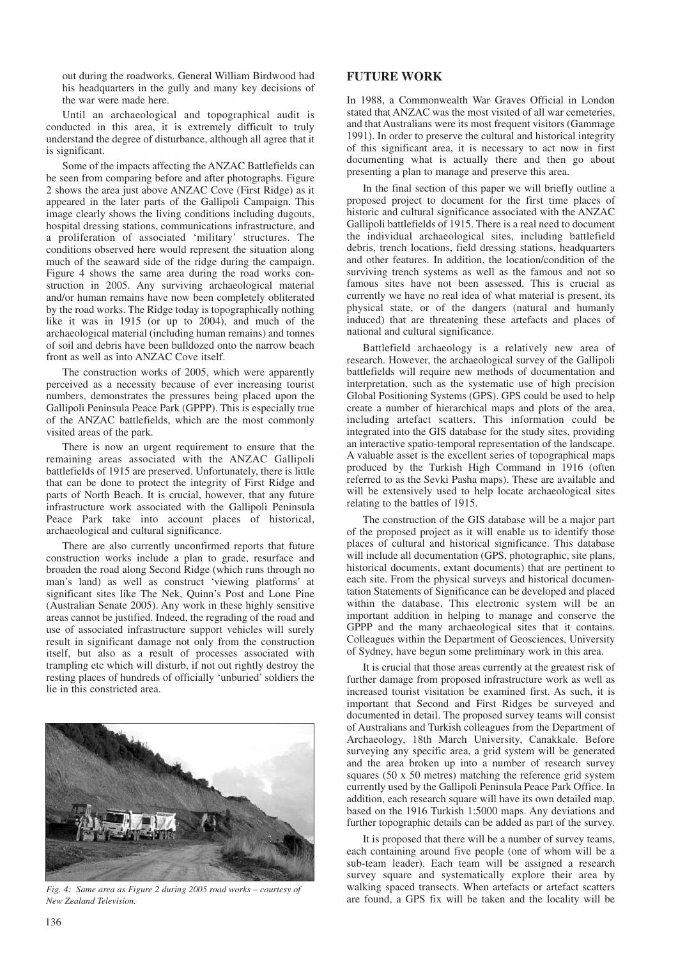out during the roadworks. General William Birdwood had his headquarters in the gully and many key decisions of the war were made here.

Until an archaeological and topographical audit is conducted in this area, it is extremely difficult to truly understand the degree of disturbance, although all agree that it is significant.

Some of the impacts affecting the ANZAC Battlefields can be seen from comparing before and after photographs. Figure 2 shows the area just above ANZAC Cove (First Ridge) as it appeared in the later parts of the Gallipoli Campaign. This image clearly shows the living conditions including dugouts, hospital dressing stations, communications infrastructure, and a proliferation of associated 'military' structures. The conditions observed here would represent the situation along much of the seaward side of the ridge during the campaign. Figure 4 shows the same area during the road works construction in 2005. Any surviving archaeological material and/or human remains have now been completely obliterated by the road works. The Ridge today is topographically nothing like it was in 1915 (or up to 2004), and much of the archaeological material (including human remains) and tonnes of soil and debris have been bulldozed onto the narrow beach front as well as into ANZAC Cove itself.

The construction works of 2005, which were apparently perceived as a necessity because of ever increasing tourist numbers, demonstrates the pressures being placed upon the Gallipoli Peninsula Peace Park (GPPP). This is especially true of the ANZAC battlefields, which are the most commonly visited areas of the park.

There is now an urgent requirement to ensure that the remaining areas associated with the ANZAC Gallipoli battlefields of 1915 are preserved. Unfortunately, there is little that can be done to protect the integrity of First Ridge and parts of North Beach. It is crucial, however, that any future infrastructure work associated with the Gallipoli Peninsula Peace Park take into account places of historical, archaeological and cultural significance.

There are also currently unconfirmed reports that future construction works include a plan to grade, resurface and broaden the road along Second Ridge (which runs through no man's land) as well as construct 'viewing platforms' at significant sites like The Nek, Quinn's Post and Lone Pine (Australian Senate 2005). Any work in these highly sensitive areas cannot be justified. Indeed, the regrading of the road and use of associated infrastructure support vehicles will surely result in significant damage not only from the construction itself, but also as a result of processes associated with trampling etc which will disturb, if not out rightly destroy the resting places of hundreds of officially 'unburied' soldiers the lie in this constricted area.



*Fig. 4: Same area as Figure 2 during 2005 road works – courtesy of New Zealand Television.*

# **FUTURE WORK**

In 1988, a Commonwealth War Graves Official in London stated that ANZAC was the most visited of all war cemeteries, and that Australians were its most frequent visitors (Gammage 1991). In order to preserve the cultural and historical integrity of this significant area, it is necessary to act now in first documenting what is actually there and then go about presenting a plan to manage and preserve this area.

In the final section of this paper we will briefly outline a proposed project to document for the first time places of historic and cultural significance associated with the ANZAC Gallipoli battlefields of 1915. There is a real need to document the individual archaeological sites, including battlefield debris, trench locations, field dressing stations, headquarters and other features. In addition, the location/condition of the surviving trench systems as well as the famous and not so famous sites have not been assessed. This is crucial as currently we have no real idea of what material is present, its physical state, or of the dangers (natural and humanly induced) that are threatening these artefacts and places of national and cultural significance.

Battlefield archaeology is a relatively new area of research. However, the archaeological survey of the Gallipoli battlefields will require new methods of documentation and interpretation, such as the systematic use of high precision Global Positioning Systems (GPS). GPS could be used to help create a number of hierarchical maps and plots of the area, including artefact scatters. This information could be integrated into the GIS database for the study sites, providing an interactive spatio-temporal representation of the landscape. A valuable asset is the excellent series of topographical maps produced by the Turkish High Command in 1916 (often referred to as the Sevki Pasha maps). These are available and will be extensively used to help locate archaeological sites relating to the battles of 1915.

The construction of the GIS database will be a major part of the proposed project as it will enable us to identify those places of cultural and historical significance. This database will include all documentation (GPS, photographic, site plans, historical documents, extant documents) that are pertinent to each site. From the physical surveys and historical documentation Statements of Significance can be developed and placed within the database. This electronic system will be an important addition in helping to manage and conserve the GPPP and the many archaeological sites that it contains. Colleagues within the Department of Geosciences, University of Sydney, have begun some preliminary work in this area.

It is crucial that those areas currently at the greatest risk of further damage from proposed infrastructure work as well as increased tourist visitation be examined first. As such, it is important that Second and First Ridges be surveyed and documented in detail. The proposed survey teams will consist of Australians and Turkish colleagues from the Department of Archaeology, 18th March University, Canakkale. Before surveying any specific area, a grid system will be generated and the area broken up into a number of research survey squares (50 x 50 metres) matching the reference grid system currently used by the Gallipoli Peninsula Peace Park Office. In addition, each research square will have its own detailed map, based on the 1916 Turkish 1:5000 maps. Any deviations and further topographic details can be added as part of the survey.

It is proposed that there will be a number of survey teams, each containing around five people (one of whom will be a sub-team leader). Each team will be assigned a research survey square and systematically explore their area by walking spaced transects. When artefacts or artefact scatters are found, a GPS fix will be taken and the locality will be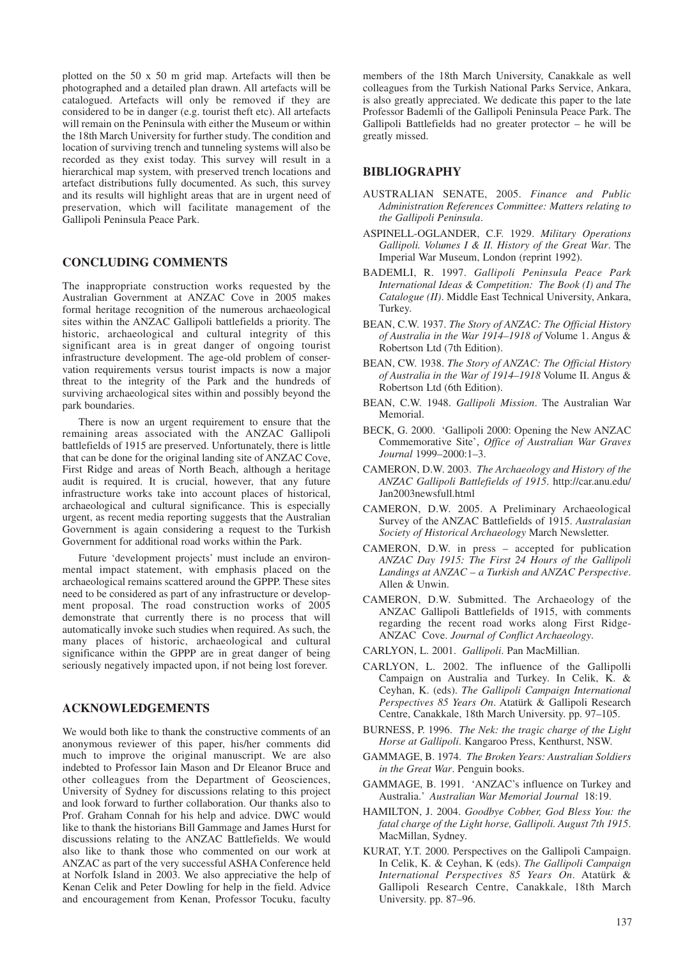plotted on the 50 x 50 m grid map. Artefacts will then be photographed and a detailed plan drawn. All artefacts will be catalogued. Artefacts will only be removed if they are considered to be in danger (e.g. tourist theft etc). All artefacts will remain on the Peninsula with either the Museum or within the 18th March University for further study. The condition and location of surviving trench and tunneling systems will also be recorded as they exist today. This survey will result in a hierarchical map system, with preserved trench locations and artefact distributions fully documented. As such, this survey and its results will highlight areas that are in urgent need of preservation, which will facilitate management of the Gallipoli Peninsula Peace Park.

## **CONCLUDING COMMENTS**

The inappropriate construction works requested by the Australian Government at ANZAC Cove in 2005 makes formal heritage recognition of the numerous archaeological sites within the ANZAC Gallipoli battlefields a priority. The historic, archaeological and cultural integrity of this significant area is in great danger of ongoing tourist infrastructure development. The age-old problem of conservation requirements versus tourist impacts is now a major threat to the integrity of the Park and the hundreds of surviving archaeological sites within and possibly beyond the park boundaries.

There is now an urgent requirement to ensure that the remaining areas associated with the ANZAC Gallipoli battlefields of 1915 are preserved. Unfortunately, there is little that can be done for the original landing site of ANZAC Cove, First Ridge and areas of North Beach, although a heritage audit is required. It is crucial, however, that any future infrastructure works take into account places of historical, archaeological and cultural significance. This is especially urgent, as recent media reporting suggests that the Australian Government is again considering a request to the Turkish Government for additional road works within the Park.

Future 'development projects' must include an environmental impact statement, with emphasis placed on the archaeological remains scattered around the GPPP. These sites need to be considered as part of any infrastructure or development proposal. The road construction works of 2005 demonstrate that currently there is no process that will automatically invoke such studies when required. As such, the many places of historic, archaeological and cultural significance within the GPPP are in great danger of being seriously negatively impacted upon, if not being lost forever.

## **ACKNOWLEDGEMENTS**

We would both like to thank the constructive comments of an anonymous reviewer of this paper, his/her comments did much to improve the original manuscript. We are also indebted to Professor Iain Mason and Dr Eleanor Bruce and other colleagues from the Department of Geosciences, University of Sydney for discussions relating to this project and look forward to further collaboration. Our thanks also to Prof. Graham Connah for his help and advice. DWC would like to thank the historians Bill Gammage and James Hurst for discussions relating to the ANZAC Battlefields. We would also like to thank those who commented on our work at ANZAC as part of the very successful ASHA Conference held at Norfolk Island in 2003. We also appreciative the help of Kenan Celik and Peter Dowling for help in the field. Advice and encouragement from Kenan, Professor Tocuku, faculty

members of the 18th March University, Canakkale as well colleagues from the Turkish National Parks Service, Ankara, is also greatly appreciated. We dedicate this paper to the late Professor Bademli of the Gallipoli Peninsula Peace Park. The Gallipoli Battlefields had no greater protector – he will be greatly missed.

## **BIBLIOGRAPHY**

- AUSTRALIAN SENATE, 2005. *Finance and Public Administration References Committee: Matters relating to the Gallipoli Peninsula*.
- ASPINELL-OGLANDER, C.F. 1929. *Military Operations Gallipoli. Volumes I & II. History of the Great War*. The Imperial War Museum, London (reprint 1992).
- BADEMLI, R. 1997. *Gallipoli Peninsula Peace Park International Ideas & Competition: The Book (I) and The Catalogue (II)*. Middle East Technical University, Ankara, Turkey.
- BEAN, C.W. 1937. *The Story of ANZAC: The Official History of Australia in the War 1914–1918 of* Volume 1. Angus & Robertson Ltd (7th Edition).
- BEAN, CW. 1938. *The Story of ANZAC: The Official History of Australia in the War of 1914–1918* Volume II. Angus & Robertson Ltd (6th Edition).
- BEAN, C.W. 1948. *Gallipoli Mission*. The Australian War Memorial.
- BECK, G. 2000. 'Gallipoli 2000: Opening the New ANZAC Commemorative Site', *Office of Australian War Graves Journal* 1999–2000:1–3.
- CAMERON, D.W. 2003. *The Archaeology and History of the ANZAC Gallipoli Battlefields of 1915*. http://car.anu.edu/ Jan2003newsfull.html
- CAMERON, D.W. 2005. A Preliminary Archaeological Survey of the ANZAC Battlefields of 1915. *Australasian Society of Historical Archaeology* March Newsletter.
- CAMERON, D.W. in press accepted for publication *ANZAC Day 1915: The First 24 Hours of the Gallipoli Landings at ANZAC – a Turkish and ANZAC Perspective*. Allen & Unwin.
- CAMERON, D.W. Submitted. The Archaeology of the ANZAC Gallipoli Battlefields of 1915, with comments regarding the recent road works along First Ridge-ANZAC Cove. *Journal of Conflict Archaeology*.
- CARLYON, L. 2001. *Gallipoli*. Pan MacMillian.
- CARLYON, L. 2002. The influence of the Gallipolli Campaign on Australia and Turkey. In Celik, K. & Ceyhan, K. (eds). *The Gallipoli Campaign International Perspectives 85 Years On*. Atatürk & Gallipoli Research Centre, Canakkale, 18th March University. pp. 97–105.
- BURNESS, P. 1996. *The Nek: the tragic charge of the Light Horse at Gallipoli*. Kangaroo Press, Kenthurst, NSW.
- GAMMAGE, B. 1974. *The Broken Years: Australian Soldiers in the Great War*. Penguin books.
- GAMMAGE, B. 1991. 'ANZAC's influence on Turkey and Australia.' *Australian War Memorial Journal* 18:19.
- HAMILTON, J. 2004. *Goodbye Cobber, God Bless You: the fatal charge of the Light horse, Gallipoli. August 7th 1915*. MacMillan, Sydney.
- KURAT, Y.T. 2000. Perspectives on the Gallipoli Campaign. In Celik, K. & Ceyhan, K (eds). *The Gallipoli Campaign International Perspectives 85 Years On*. Atatürk & Gallipoli Research Centre, Canakkale, 18th March University. pp. 87–96.